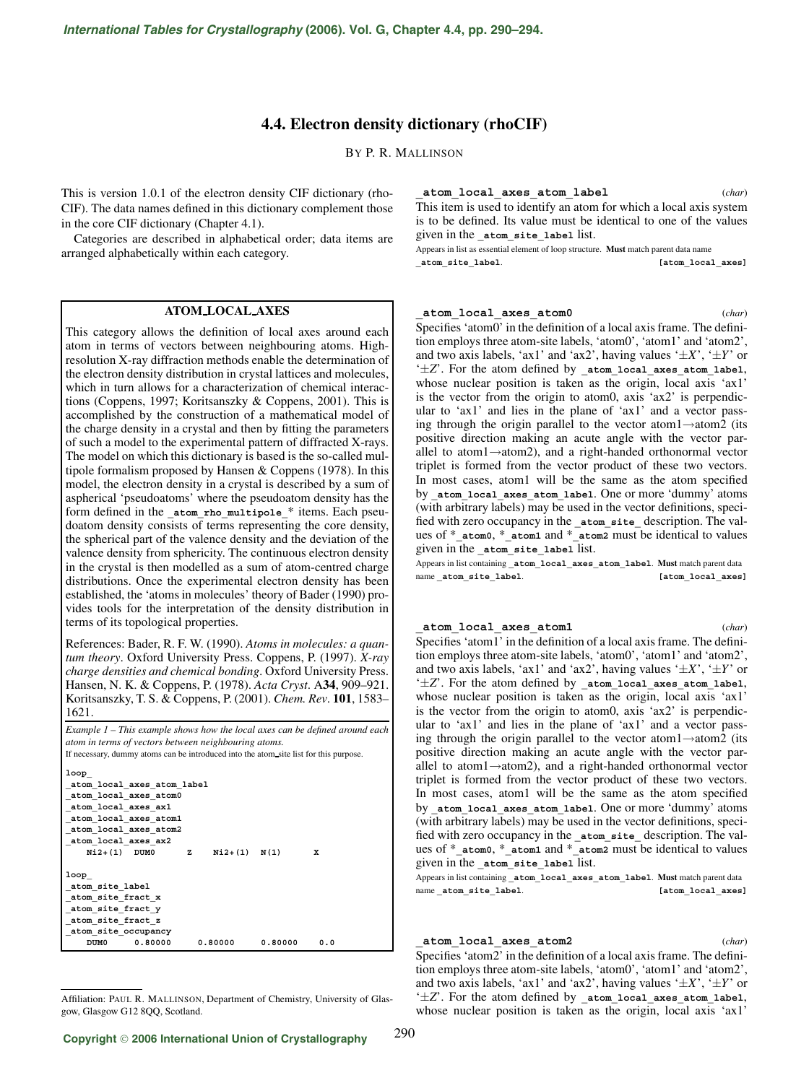# **4.4. Electron density dictionary (rhoCIF)**

BY P. R. MALLINSON

This is version 1.0.1 of the electron density CIF dictionary (rho-CIF). The data names defined in this dictionary complement those in the core CIF dictionary (Chapter 4.1).

Categories are described in alphabetical order; data items are arranged alphabetically within each category.

## **ATOM LOCAL AXES**

This category allows the definition of local axes around each atom in terms of vectors between neighbouring atoms. Highresolution X-ray diffraction methods enable the determination of the electron density distribution in crystal lattices and molecules, which in turn allows for a characterization of chemical interactions (Coppens, 1997; Koritsanszky & Coppens, 2001). This is accomplished by the construction of a mathematical model of the charge density in a crystal and then by fitting the parameters of such a model to the experimental pattern of diffracted X-rays. The model on which this dictionary is based is the so-called multipole formalism proposed by Hansen & Coppens (1978). In this model, the electron density in a crystal is described by a sum of aspherical 'pseudoatoms' where the pseudoatom density has the form defined in the atom rho multipole \* items. Each pseudoatom density consists of terms representing the core density, the spherical part of the valence density and the deviation of the valence density from sphericity. The continuous electron density in the crystal is then modelled as a sum of atom-centred charge distributions. Once the experimental electron density has been established, the 'atoms in molecules' theory of Bader (1990) provides tools for the interpretation of the density distribution in terms of its topological properties.

References: Bader, R. F. W. (1990). *Atoms in molecules: a quantum theory*. Oxford University Press. Coppens, P. (1997). *X-ray charge densities and chemical bonding*. Oxford University Press. Hansen, N. K. & Coppens, P. (1978). *Acta Cryst*. A**34**, 909–921. Koritsanszky, T. S. & Coppens, P. (2001). *Chem. Rev*. **101**, 1583– 1621.

*Example 1 – This example shows how the local axes can be defined around each atom in terms of vectors between neighbouring atoms.*

If necessary, dummy atoms can be introduced into the atom site list for this purpose.

| loop                       |   |                  |                     |     |  |  |  |  |  |
|----------------------------|---|------------------|---------------------|-----|--|--|--|--|--|
| atom local axes atom label |   |                  |                     |     |  |  |  |  |  |
| atom local axes atom0      |   |                  |                     |     |  |  |  |  |  |
| atom local axes ax1        |   |                  |                     |     |  |  |  |  |  |
| atom local axes atoml      |   |                  |                     |     |  |  |  |  |  |
| atom local axes atom2      |   |                  |                     |     |  |  |  |  |  |
| atom local axes ax2        |   |                  |                     |     |  |  |  |  |  |
| $Ni2+(1)$ DUMO             | z | $Ni2+(1)$ $N(1)$ |                     | x   |  |  |  |  |  |
|                            |   |                  |                     |     |  |  |  |  |  |
| loop                       |   |                  |                     |     |  |  |  |  |  |
| atom site label            |   |                  |                     |     |  |  |  |  |  |
| atom site fract x          |   |                  |                     |     |  |  |  |  |  |
| atom site fract y          |   |                  |                     |     |  |  |  |  |  |
| atom site fract z          |   |                  |                     |     |  |  |  |  |  |
| atom site occupancy        |   |                  |                     |     |  |  |  |  |  |
| DUM0<br>0.80000            |   |                  | $0.80000$ $0.80000$ | 0.0 |  |  |  |  |  |

Affiliation: PAUL R. MALLINSON, Department of Chemistry, University of Glasgow, Glasgow G12 8QQ, Scotland.

**\_atom\_local\_axes\_atom\_label** (*char*) This item is used to identify an atom for which a local axis system is to be defined. Its value must be identical to one of the values given in the atom site label list.

Appears in list as essential element of loop structure. **Must** match parent data name **\_atom\_site\_label**. **[atom\_local\_axes]**

#### **\_atom\_local\_axes\_atom0** (*char*)

Specifies 'atom0' in the definition of a local axis frame. The definition employs three atom-site labels, 'atom0', 'atom1' and 'atom2', and two axis labels, 'ax1' and 'ax2', having values ' $\pm X$ ', ' $\pm Y$ ' or '±*Z*'. For the atom defined by **\_atom\_local\_axes\_atom\_label**, whose nuclear position is taken as the origin, local axis 'ax1' is the vector from the origin to atom0, axis 'ax2' is perpendicular to 'ax1' and lies in the plane of 'ax1' and a vector passing through the origin parallel to the vector atom1 $\rightarrow$ atom2 (its positive direction making an acute angle with the vector parallel to atom1→atom2), and a right-handed orthonormal vector triplet is formed from the vector product of these two vectors. In most cases, atom1 will be the same as the atom specified by **\_atom\_local\_axes\_atom\_label**. One or more 'dummy' atoms (with arbitrary labels) may be used in the vector definitions, specified with zero occupancy in the **\_atom\_site\_** description. The values of \***\_atom0**, \***\_atom1** and \***\_atom2** must be identical to values given in the **\_atom\_site\_label** list.

Appears in list containing **\_atom\_local\_axes\_atom\_label**. **Must** match parent data name **\_atom\_site\_label. [atom\_local\_axes]** 

#### **\_atom\_local\_axes\_atom1** (*char*)

Specifies 'atom1' in the definition of a local axis frame. The definition employs three atom-site labels, 'atom0', 'atom1' and 'atom2', and two axis labels, 'ax1' and 'ax2', having values ' $\pm X$ ', ' $\pm Y$ ' or '±*Z*'. For the atom defined by **\_atom\_local\_axes\_atom\_label**, whose nuclear position is taken as the origin, local axis 'ax1' is the vector from the origin to atom0, axis 'ax2' is perpendicular to 'ax1' and lies in the plane of 'ax1' and a vector passing through the origin parallel to the vector atom $1 \rightarrow$ atom $2$  (its positive direction making an acute angle with the vector parallel to atom1→atom2), and a right-handed orthonormal vector triplet is formed from the vector product of these two vectors. In most cases, atom1 will be the same as the atom specified by **\_atom\_local\_axes\_atom\_label**. One or more 'dummy' atoms (with arbitrary labels) may be used in the vector definitions, specified with zero occupancy in the **\_atom\_site\_** description. The values of \***\_atom0**, \***\_atom1** and \***\_atom2** must be identical to values given in the **\_atom\_site\_label** list.

Appears in list containing **\_atom\_local\_axes\_atom\_label**. **Must** match parent data name **\_atom\_site\_label. [atom\_local\_axes]** 

#### **\_atom\_local\_axes\_atom2** (*char*)

290

Specifies 'atom2' in the definition of a local axis frame. The definition employs three atom-site labels, 'atom0', 'atom1' and 'atom2', and two axis labels, 'ax1' and 'ax2', having values ' $\pm X$ ', ' $\pm Y$ ' or '±*Z*'. For the atom defined by **\_atom\_local\_axes\_atom\_label**, whose nuclear position is taken as the origin, local axis 'ax1'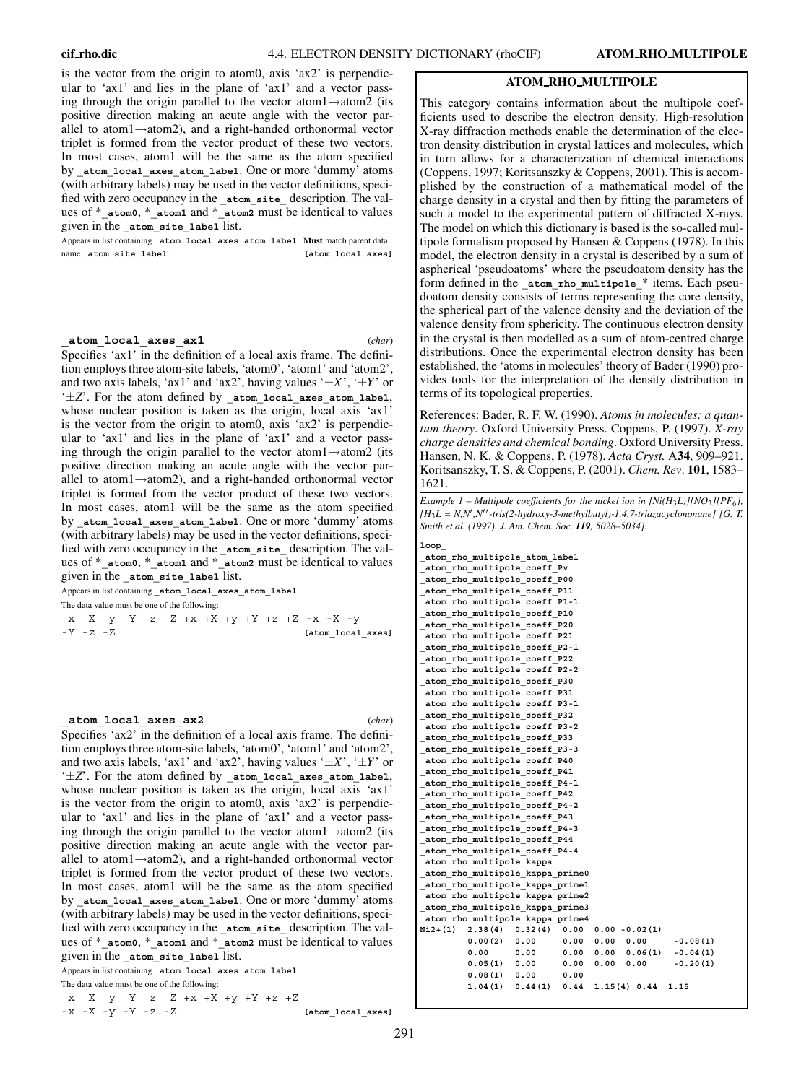is the vector from the origin to atom0, axis 'ax2' is perpendicular to 'ax1' and lies in the plane of 'ax1' and a vector passing through the origin parallel to the vector atom1→atom2 (its positive direction making an acute angle with the vector parallel to atom1→atom2), and a right-handed orthonormal vector triplet is formed from the vector product of these two vectors. In most cases, atom1 will be the same as the atom specified by **\_atom\_local\_axes\_atom\_label**. One or more 'dummy' atoms (with arbitrary labels) may be used in the vector definitions, specified with zero occupancy in the **atom** site description. The values of \***\_atom0**, \***\_atom1** and \***\_atom2** must be identical to values given in the **\_atom\_site\_label** list.

Appears in list containing **\_atom\_local\_axes\_atom\_label**. **Must** match parent data name **atom** site label. **[atom** local axes]

#### **\_atom\_local\_axes\_ax1** (*char*)

Specifies 'ax1' in the definition of a local axis frame. The definition employs three atom-site labels, 'atom0', 'atom1' and 'atom2', and two axis labels, 'ax1' and 'ax2', having values '±*X*', '±*Y*' or '±*Z*'. For the atom defined by **\_atom\_local\_axes\_atom\_label**, whose nuclear position is taken as the origin, local axis 'ax1' is the vector from the origin to atom0, axis 'ax2' is perpendicular to 'ax1' and lies in the plane of 'ax1' and a vector passing through the origin parallel to the vector atom1→atom2 (its positive direction making an acute angle with the vector parallel to atom1→atom2), and a right-handed orthonormal vector triplet is formed from the vector product of these two vectors. In most cases, atom1 will be the same as the atom specified by atom local axes atom label. One or more 'dummy' atoms (with arbitrary labels) may be used in the vector definitions, specified with zero occupancy in the **atom** site description. The values of \***\_atom0**, \***\_atom1** and \***\_atom2** must be identical to values given in the atom site label list.

Appears in list containing **\_atom\_local\_axes\_atom\_label**. The data value must be one of the following:

|  | x X y Y z Z +x +X +y +Y +z +Z -x -X -y |  |  |  |  |  |  |                   |
|--|----------------------------------------|--|--|--|--|--|--|-------------------|
|  | $-Y$ -z -Z.                            |  |  |  |  |  |  | [atom local axes] |

**\_atom\_local\_axes\_ax2** (*char*) Specifies 'ax2' in the definition of a local axis frame. The definition employs three atom-site labels, 'atom0', 'atom1' and 'atom2', and two axis labels, 'ax1' and 'ax2', having values ' $\pm X$ ', ' $\pm Y$ ' or '±*Z*'. For the atom defined by **\_atom\_local\_axes\_atom\_label**, whose nuclear position is taken as the origin, local axis 'ax1' is the vector from the origin to atom0, axis 'ax2' is perpendicular to 'ax1' and lies in the plane of 'ax1' and a vector passing through the origin parallel to the vector atom1→atom2 (its positive direction making an acute angle with the vector parallel to atom1→atom2), and a right-handed orthonormal vector triplet is formed from the vector product of these two vectors. In most cases, atom1 will be the same as the atom specified by atom local axes atom label. One or more 'dummy' atoms (with arbitrary labels) may be used in the vector definitions, specified with zero occupancy in the **atom** site description. The values of \***\_atom0**, \***\_atom1** and \***\_atom2** must be identical to values given in the **\_atom\_site\_label** list.

Appears in list containing **\_atom\_local\_axes\_atom\_label**.

The data value must be one of the following:

x X y Y z Z +x +X +y +Y +z +Z -x -X -y -Y -z -Z. **[atom\_local\_axes]**

### **ATOM RHO MULTIPOLE**

This category contains information about the multipole coefficients used to describe the electron density. High-resolution X-ray diffraction methods enable the determination of the electron density distribution in crystal lattices and molecules, which in turn allows for a characterization of chemical interactions (Coppens, 1997; Koritsanszky & Coppens, 2001). This is accomplished by the construction of a mathematical model of the charge density in a crystal and then by fitting the parameters of such a model to the experimental pattern of diffracted X-rays. The model on which this dictionary is based is the so-called multipole formalism proposed by Hansen & Coppens (1978). In this model, the electron density in a crystal is described by a sum of aspherical 'pseudoatoms' where the pseudoatom density has the form defined in the atom rho multipole \* items. Each pseudoatom density consists of terms representing the core density, the spherical part of the valence density and the deviation of the valence density from sphericity. The continuous electron density in the crystal is then modelled as a sum of atom-centred charge distributions. Once the experimental electron density has been established, the 'atoms in molecules' theory of Bader (1990) provides tools for the interpretation of the density distribution in terms of its topological properties.

References: Bader, R. F. W. (1990). *Atoms in molecules: a quantum theory*. Oxford University Press. Coppens, P. (1997). *X-ray charge densities and chemical bonding*. Oxford University Press. Hansen, N. K. & Coppens, P. (1978). *Acta Cryst.* A**34**, 909–921. Koritsanszky, T. S. & Coppens, P. (2001). *Chem. Rev*. **101**, 1583– 1621.

*Example 1 – Multipole coefficients for the nickel ion in [Ni(H*3*L)][NO*3*][PF*6*], [H*3*L = N,N ,N-tris(2-hydroxy-3-methylbutyl)-1,4,7-triazacyclononane] [G. T. Smith et al. (1997). J. Am. Chem. Soc. 119, 5028–5034].*

**loop\_ \_atom\_rho\_multipole\_atom\_label \_atom\_rho\_multipole\_coeff\_Pv \_atom\_rho\_multipole\_coeff\_P00 \_atom\_rho\_multipole\_coeff\_P11 \_atom\_rho\_multipole\_coeff\_P1-1 \_atom\_rho\_multipole\_coeff\_P10 \_atom\_rho\_multipole\_coeff\_P20 \_atom\_rho\_multipole\_coeff\_P21 \_atom\_rho\_multipole\_coeff\_P2-1 \_atom\_rho\_multipole\_coeff\_P22 \_atom\_rho\_multipole\_coeff\_P2-2 \_atom\_rho\_multipole\_coeff\_P30 \_atom\_rho\_multipole\_coeff\_P31 \_atom\_rho\_multipole\_coeff\_P3-1 \_atom\_rho\_multipole\_coeff\_P32 \_atom\_rho\_multipole\_coeff\_P3-2 \_atom\_rho\_multipole\_coeff\_P33 \_atom\_rho\_multipole\_coeff\_P3-3 \_atom\_rho\_multipole\_coeff\_P40 \_atom\_rho\_multipole\_coeff\_P41 \_atom\_rho\_multipole\_coeff\_P4-1 \_atom\_rho\_multipole\_coeff\_P42 \_atom\_rho\_multipole\_coeff\_P4-2 \_atom\_rho\_multipole\_coeff\_P43 \_atom\_rho\_multipole\_coeff\_P4-3 \_atom\_rho\_multipole\_coeff\_P44 \_atom\_rho\_multipole\_coeff\_P4-4 \_atom\_rho\_multipole\_kappa \_atom\_rho\_multipole\_kappa\_prime0 \_atom\_rho\_multipole\_kappa\_prime1 \_atom\_rho\_multipole\_kappa\_prime2 \_atom\_rho\_multipole\_kappa\_prime3 \_atom\_rho\_multipole\_kappa\_prime4 Ni2+(1) 2.38(4) 0.32(4) 0.00 0.00 -0.02(1) 0.00(2) 0.00 0.00 0.00 0.00 -0.08(1) 0.00 0.00 0.00 0.00 0.06(1) -0.04(1) 0.05(1) 0.00 0.00 0.00 0.00 -0.20(1) 0.08(1) 0.00 0.00 1.04(1) 0.44(1) 0.44 1.15(4) 0.44 1.15**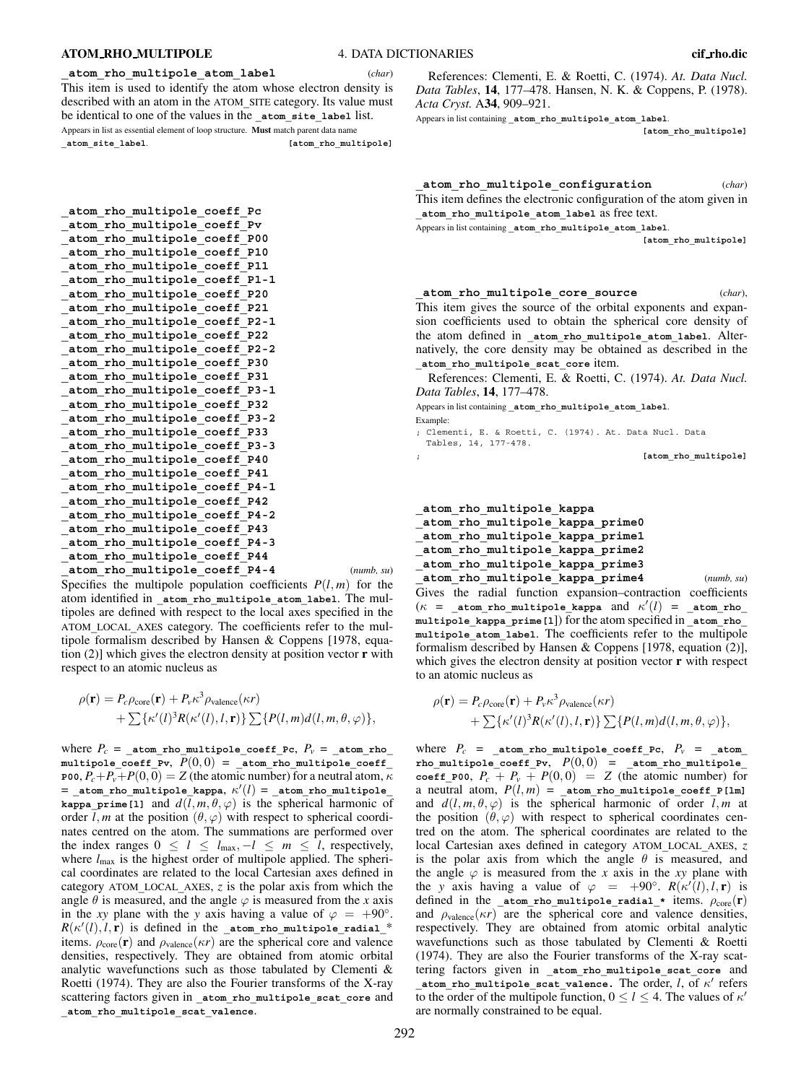#### **ATOM RHO MULTIPOLE** 4. DATA DICTIONARIES **cif rho.dic**

Appears in list as essential element of loop structure. **Must** match parent data name **\_atom\_site\_label**. **[atom\_rho\_multipole]**

**\_atom\_rho\_multipole\_coeff\_Pc \_atom\_rho\_multipole\_coeff\_Pv \_atom\_rho\_multipole\_coeff\_P00 \_atom\_rho\_multipole\_coeff\_P10 \_atom\_rho\_multipole\_coeff\_P11 \_atom\_rho\_multipole\_coeff\_P1-1 \_atom\_rho\_multipole\_coeff\_P20 \_atom\_rho\_multipole\_coeff\_P21 \_atom\_rho\_multipole\_coeff\_P2-1 \_atom\_rho\_multipole\_coeff\_P22 \_atom\_rho\_multipole\_coeff\_P2-2 \_atom\_rho\_multipole\_coeff\_P30 \_atom\_rho\_multipole\_coeff\_P31 \_atom\_rho\_multipole\_coeff\_P3-1 \_atom\_rho\_multipole\_coeff\_P32 \_atom\_rho\_multipole\_coeff\_P3-2 \_atom\_rho\_multipole\_coeff\_P33 \_atom\_rho\_multipole\_coeff\_P3-3 \_atom\_rho\_multipole\_coeff\_P40 \_atom\_rho\_multipole\_coeff\_P41 \_atom\_rho\_multipole\_coeff\_P4-1 \_atom\_rho\_multipole\_coeff\_P42 \_atom\_rho\_multipole\_coeff\_P4-2 \_atom\_rho\_multipole\_coeff\_P43 \_atom\_rho\_multipole\_coeff\_P4-3 \_atom\_rho\_multipole\_coeff\_P44 \_atom\_rho\_multipole\_coeff\_P4-4** (*numb, su*)

Specifies the multipole population coefficients  $P(l, m)$  for the atom identified in **\_atom\_rho\_multipole\_atom\_label**. The multipoles are defined with respect to the local axes specified in the ATOM**\_**LOCAL**\_**AXES category. The coefficients refer to the multipole formalism described by Hansen & Coppens [1978, equation (2)] which gives the electron density at position vector **r** with respect to an atomic nucleus as

$$
\rho(\mathbf{r}) = P_c \rho_{\text{core}}(\mathbf{r}) + P_v \kappa^3 \rho_{\text{valence}}(\kappa r) + \sum \{\kappa'(l)^3 R(\kappa'(l), l, \mathbf{r})\} \sum \{P(l, m) d(l, m, \theta, \varphi)\},
$$

where  $P_c =$  **\_atom\_rho\_multipole\_coeff\_Pc,**  $P_v =$  **\_atom\_rho multipole\_coeff\_Pv**, *P*(0, 0) = **\_atom\_rho\_multipole\_coeff\_ P00**,  $P_c+P_v+P(0,0)=Z$  (the atomic number) for a neutral atom,  $\kappa$ = **\_atom\_rho\_multipole\_kappa**, κ (*l*) = **\_atom\_rho\_multipole\_ kappa prime**[1] and  $d(l, m, \theta, \varphi)$  is the spherical harmonic of order *l*, *m* at the position  $(\theta, \varphi)$  with respect to spherical coordinates centred on the atom. The summations are performed over the index ranges  $0 \le l \le l_{\text{max}}, -l \le m \le l$ , respectively, where  $l_{\text{max}}$  is the highest order of multipole applied. The spherical coordinates are related to the local Cartesian axes defined in category ATOM**\_**LOCAL**\_**AXES, *z* is the polar axis from which the angle  $\theta$  is measured, and the angle  $\varphi$  is measured from the *x* axis in the *xy* plane with the *y* axis having a value of  $\varphi = +90^\circ$ .  $R(\kappa'(l), l, \mathbf{r})$  is defined in the **\_atom\_rho\_multipole\_radial\_\*** items.  $\rho_{\text{core}}(\mathbf{r})$  and  $\rho_{\text{valence}}(\kappa r)$  are the spherical core and valence densities, respectively. They are obtained from atomic orbital analytic wavefunctions such as those tabulated by Clementi & Roetti (1974). They are also the Fourier transforms of the X-ray scattering factors given in **\_atom\_rho\_multipole\_scat\_core** and **\_atom\_rho\_multipole\_scat\_valence**.

References: Clementi, E. & Roetti, C. (1974). *At. Data Nucl. Data Tables*, **14**, 177–478. Hansen, N. K. & Coppens, P. (1978). *Acta Cryst.* A**34**, 909–921.

Appears in list containing **\_atom\_rho\_multipole\_atom\_label**.

**[atom\_rho\_multipole]**

| atom rho multipole configuration                                    | (char) |
|---------------------------------------------------------------------|--------|
| This item defines the electronic configuration of the atom given in |        |
| atom rho multipole atom label as free text.                         |        |

Appears in list containing **\_atom\_rho\_multipole\_atom\_label**.

**[atom\_rho\_multipole]**

**\_atom\_rho\_multipole\_core\_source** (*char*), This item gives the source of the orbital exponents and expansion coefficients used to obtain the spherical core density of the atom defined in **\_atom\_rho\_multipole\_atom\_label**. Alternatively, the core density may be obtained as described in the **\_atom\_rho\_multipole\_scat\_core** item.

References: Clementi, E. & Roetti, C. (1974). *At. Data Nucl. Data Tables*, **14**, 177–478.

Appears in list containing **\_atom\_rho\_multipole\_atom\_label**. Example:

; Clementi, E. & Roetti, C. (1974). At. Data Nucl. Data Tables, 14, 177-478.

; **[atom\_rho\_multipole]**

**\_atom\_rho\_multipole\_kappa \_atom\_rho\_multipole\_kappa\_prime0 \_atom\_rho\_multipole\_kappa\_prime1 \_atom\_rho\_multipole\_kappa\_prime2**

**\_atom\_rho\_multipole\_kappa\_prime3**

**\_atom\_rho\_multipole\_kappa\_prime4** (*numb, su*) Gives the radial function expansion–contraction coefficients  $(\kappa$  = **\_atom\_rho\_multipole\_kappa** and  $\kappa'(l)$  = **\_atom\_rho\_ multipole\_kappa\_prime[l**]) for the atom specified in **\_atom\_rho\_ multipole\_atom\_label**. The coefficients refer to the multipole formalism described by Hansen & Coppens [1978, equation (2)], which gives the electron density at position vector **r** with respect to an atomic nucleus as

$$
\rho(\mathbf{r}) = P_c \rho_{\text{core}}(\mathbf{r}) + P_v \kappa^3 \rho_{\text{valence}}(\kappa r) + \sum \{\kappa'(l)^3 R(\kappa'(l), l, \mathbf{r})\} \sum \{P(l, m) d(l, m, \theta, \varphi)\},
$$

where  $P_c =$  **\_atom\_rho\_multipole\_coeff\_Pc,**  $P_v =$  **\_atom rho\_multipole\_coeff\_Pv**, *P*(0, 0) = **\_atom\_rho\_multipole\_ coeff\_P00**,  $P_c + P_v + P(0, 0) = Z$  (the atomic number) for a neutral atom,  $P(l, m) =$  atom rho multipole coeff P[lm] and  $d(l, m, \theta, \varphi)$  is the spherical harmonic of order  $l, m$  at the position  $(\theta, \varphi)$  with respect to spherical coordinates centred on the atom. The spherical coordinates are related to the local Cartesian axes defined in category ATOM**\_**LOCAL**\_**AXES, *z* is the polar axis from which the angle  $\theta$  is measured, and the angle  $\varphi$  is measured from the *x* axis in the *xy* plane with the *y* axis having a value of  $\varphi = +90^\circ$ .  $R(\kappa'(l), l, r)$  is defined in the **atom** rho multipole radial \* items.  $\rho_{\text{core}}(\mathbf{r})$ and  $\rho_{valence}(\kappa r)$  are the spherical core and valence densities, respectively. They are obtained from atomic orbital analytic wavefunctions such as those tabulated by Clementi & Roetti (1974). They are also the Fourier transforms of the X-ray scattering factors given in **\_atom\_rho\_multipole\_scat\_core** and **atom** rho multipole scat valence. The order, *l*, of  $\kappa'$  refers to the order of the multipole function,  $0 \le l \le 4$ . The values of  $\kappa'$ are normally constrained to be equal.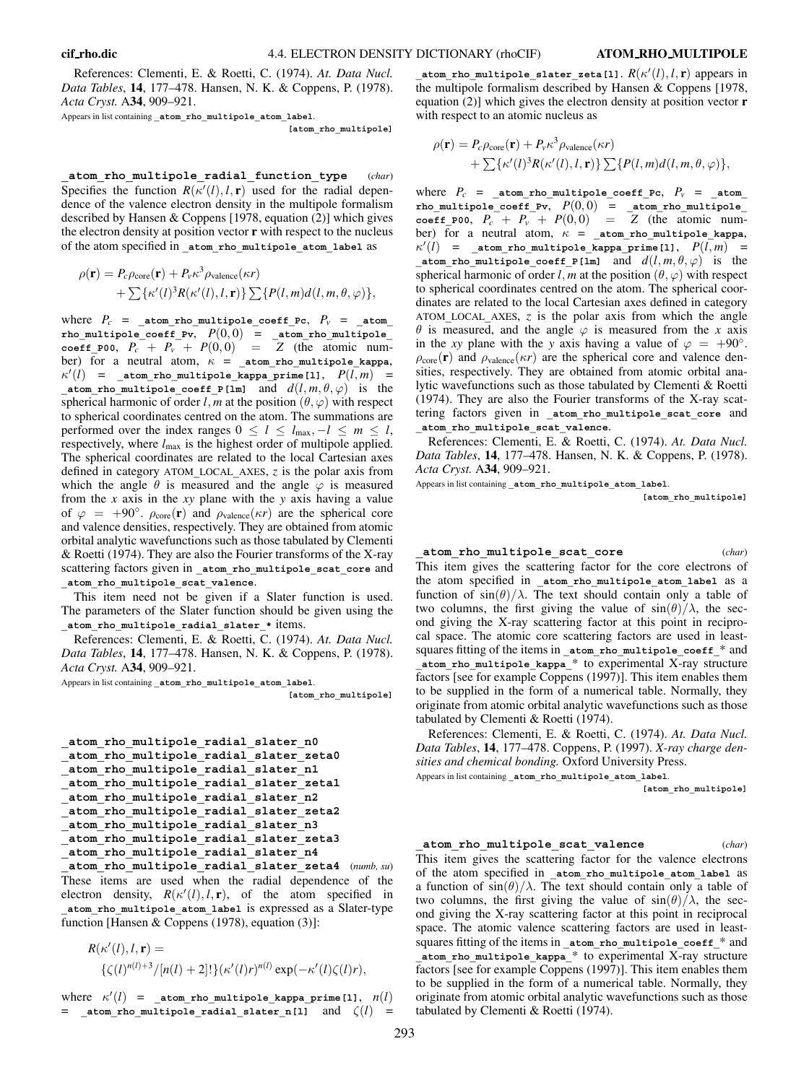References: Clementi, E. & Roetti, C. (1974). *At. Data Nucl. Data Tables*, **14**, 177–478. Hansen, N. K. & Coppens, P. (1978). *Acta Cryst.* A**34**, 909–921.

Appears in list containing **\_atom\_rho\_multipole\_atom\_label**.

**[atom\_rho\_multipole]**

**\_atom\_rho\_multipole\_radial\_function\_type** (*char*) Specifies the function  $R(\kappa'(l), l, r)$  used for the radial dependence of the valence electron density in the multipole formalism described by Hansen & Coppens [1978, equation (2)] which gives the electron density at position vector **r** with respect to the nucleus of the atom specified in **\_atom\_rho\_multipole\_atom\_label** as

$$
\rho(\mathbf{r}) = P_c \rho_{\text{core}}(\mathbf{r}) + P_v \kappa^3 \rho_{\text{valence}}(\kappa r) + \sum \{\kappa'(l)^3 R(\kappa'(l), l, \mathbf{r})\} \sum \{P(l, m) d(l, m, \theta, \varphi)\},
$$

where  $P_c$  =  $_{\text{atom\_rho\_multiple\_coeff\_PC}}$ ,  $P_v$  =  $_{\text{atom\_atom}}$ **rho\_multipole\_coeff\_Pv**, *P*(0, 0) = **\_atom\_rho\_multipole\_ coeff\_P00**,  $P_c + P_v + P(0,0) = Z$  (the atomic number) for a neutral atom,  $\kappa$  =  $_{\texttt{atom\_rho\_multiple\_kappa}}$ ,  $\kappa'(l)$  = \_atom\_rho\_multipole\_kappa\_prime[1],  $P(l,m)$  = **atom** rho multipole coeff P[lm] and  $d(l, m, \theta, \varphi)$  is the spherical harmonic of order *l*, *m* at the position  $(\theta, \varphi)$  with respect to spherical coordinates centred on the atom. The summations are performed over the index ranges  $0 \le l \le l_{\text{max}}, -l \le m \le l$ , respectively, where  $l_{\text{max}}$  is the highest order of multipole applied. The spherical coordinates are related to the local Cartesian axes defined in category ATOM**\_**LOCAL**\_**AXES, *z* is the polar axis from which the angle  $\theta$  is measured and the angle  $\varphi$  is measured from the *x* axis in the *xy* plane with the *y* axis having a value of  $\varphi = +90^\circ$ .  $\rho_{\text{core}}(\mathbf{r})$  and  $\rho_{\text{valence}}(\kappa r)$  are the spherical core and valence densities, respectively. They are obtained from atomic orbital analytic wavefunctions such as those tabulated by Clementi & Roetti (1974). They are also the Fourier transforms of the X-ray scattering factors given in **\_atom\_rho\_multipole\_scat\_core** and **\_atom\_rho\_multipole\_scat\_valence**.

This item need not be given if a Slater function is used. The parameters of the Slater function should be given using the **\_atom\_rho\_multipole\_radial\_slater\_\*** items.

References: Clementi, E. & Roetti, C. (1974). *At. Data Nucl. Data Tables*, **14**, 177–478. Hansen, N. K. & Coppens, P. (1978). *Acta Cryst.* A**34**, 909–921.

Appears in list containing **\_atom\_rho\_multipole\_atom\_label**.

**[atom\_rho\_multipole]**

```
_atom_rho_multipole_radial_slater_n0
_atom_rho_multipole_radial_slater_zeta0
_atom_rho_multipole_radial_slater_n1
_atom_rho_multipole_radial_slater_zeta1
_atom_rho_multipole_radial_slater_n2
_atom_rho_multipole_radial_slater_zeta2
_atom_rho_multipole_radial_slater_n3
_atom_rho_multipole_radial_slater_zeta3
_atom_rho_multipole_radial_slater_n4
```
**\_atom\_rho\_multipole\_radial\_slater\_zeta4** (*numb, su*) These items are used when the radial dependence of the electron density,  $R(\kappa'(l), l, r)$ , of the atom specified in **\_atom\_rho\_multipole\_atom\_label** is expressed as a Slater-type function [Hansen & Coppens (1978), equation (3)]:

$$
R(\kappa'(l), l, \mathbf{r}) =
$$
  
{\zeta(l)^{n(l)+3}/[n(l) + 2]!\}(\kappa'(l)r)^{n(l)} \exp(-\kappa'(l)\zeta(l)r),

where  $\kappa'(l)$  = \_atom\_rho\_multipole\_kappa\_prime[1],  $n(l)$ =  $\alpha$  atom rho multipole radial slater n[l] and  $\zeta(l) =$ 

 $\_$ atom\_rho\_multipole\_slater\_zeta[l].  $R(\kappa'(l), l, \mathbf{r})$  appears in the multipole formalism described by Hansen & Coppens [1978, equation (2)] which gives the electron density at position vector **r** with respect to an atomic nucleus as

$$
\rho(\mathbf{r}) = P_c \rho_{\text{core}}(\mathbf{r}) + P_v \kappa^3 \rho_{\text{valence}}(\kappa r) + \sum \{\kappa'(l)^3 R(\kappa'(l), l, \mathbf{r})\} \sum \{P(l, m) d(l, m, \theta, \varphi)\},
$$

where  $P_c =$  **\_atom\_rho\_multipole\_coeff\_Pc,**  $P_v =$  **\_atom**\_ **rho\_multipole\_coeff\_Pv**, *P*(0, 0) = **\_atom\_rho\_multipole\_ coeff** P00,  $P_c + P_v + P(0, 0) = Z$  (the atomic number) for a neutral atom,  $\kappa$  =  $_{\text{atom\_rho\_multiple\_kappa}}$ ,  $\kappa'(l)$  = \_atom\_rho\_multipole\_kappa\_prime[1],  $P(l,m)$  = **atom** rho multipole coeff P[lm] and  $d(l, m, \theta, \varphi)$  is the spherical harmonic of order *l*, *m* at the position  $(\theta, \varphi)$  with respect to spherical coordinates centred on the atom. The spherical coordinates are related to the local Cartesian axes defined in category ATOM**\_**LOCAL**\_**AXES, *z* is the polar axis from which the angle  $\theta$  is measured, and the angle  $\varphi$  is measured from the *x* axis in the *xy* plane with the *y* axis having a value of  $\varphi = +90^\circ$ .  $\rho_{\text{core}}(\mathbf{r})$  and  $\rho_{\text{valence}}(\kappa r)$  are the spherical core and valence densities, respectively. They are obtained from atomic orbital analytic wavefunctions such as those tabulated by Clementi & Roetti (1974). They are also the Fourier transforms of the X-ray scattering factors given in **\_atom\_rho\_multipole\_scat\_core** and **\_atom\_rho\_multipole\_scat\_valence**.

References: Clementi, E. & Roetti, C. (1974). *At. Data Nucl. Data Tables*, **14**, 177–478. Hansen, N. K. & Coppens, P. (1978). *Acta Cryst.* A**34**, 909–921.

Appears in list containing **\_atom\_rho\_multipole\_atom\_label**.

**[atom\_rho\_multipole]**

## **\_atom\_rho\_multipole\_scat\_core** (*char*)

This item gives the scattering factor for the core electrons of the atom specified in **\_atom\_rho\_multipole\_atom\_label** as a function of  $\sin(\theta)/\lambda$ . The text should contain only a table of two columns, the first giving the value of  $sin(\theta)/\lambda$ , the second giving the X-ray scattering factor at this point in reciprocal space. The atomic core scattering factors are used in leastsquares fitting of the items in **\_atom\_rho\_multipole\_coeff\_**\* and **\_atom\_rho\_multipole\_kappa\_**\* to experimental X-ray structure factors [see for example Coppens (1997)]. This item enables them to be supplied in the form of a numerical table. Normally, they originate from atomic orbital analytic wavefunctions such as those tabulated by Clementi & Roetti (1974).

References: Clementi, E. & Roetti, C. (1974). *At. Data Nucl. Data Tables*, **14**, 177–478. Coppens, P. (1997). *X-ray charge densities and chemical bonding.* Oxford University Press. Appears in list containing **\_atom\_rho\_multipole\_atom\_label**.

**[atom\_rho\_multipole]**

#### **\_atom\_rho\_multipole\_scat\_valence** (*char*)

This item gives the scattering factor for the valence electrons of the atom specified in **\_atom\_rho\_multipole\_atom\_label** as a function of  $\sin(\theta)/\lambda$ . The text should contain only a table of two columns, the first giving the value of  $sin(\theta)/\lambda$ , the second giving the X-ray scattering factor at this point in reciprocal space. The atomic valence scattering factors are used in leastsquares fitting of the items in **\_atom\_rho\_multipole\_coeff\_**\* and **\_atom\_rho\_multipole\_kappa\_**\* to experimental X-ray structure factors [see for example Coppens (1997)]. This item enables them to be supplied in the form of a numerical table. Normally, they originate from atomic orbital analytic wavefunctions such as those tabulated by Clementi & Roetti (1974).